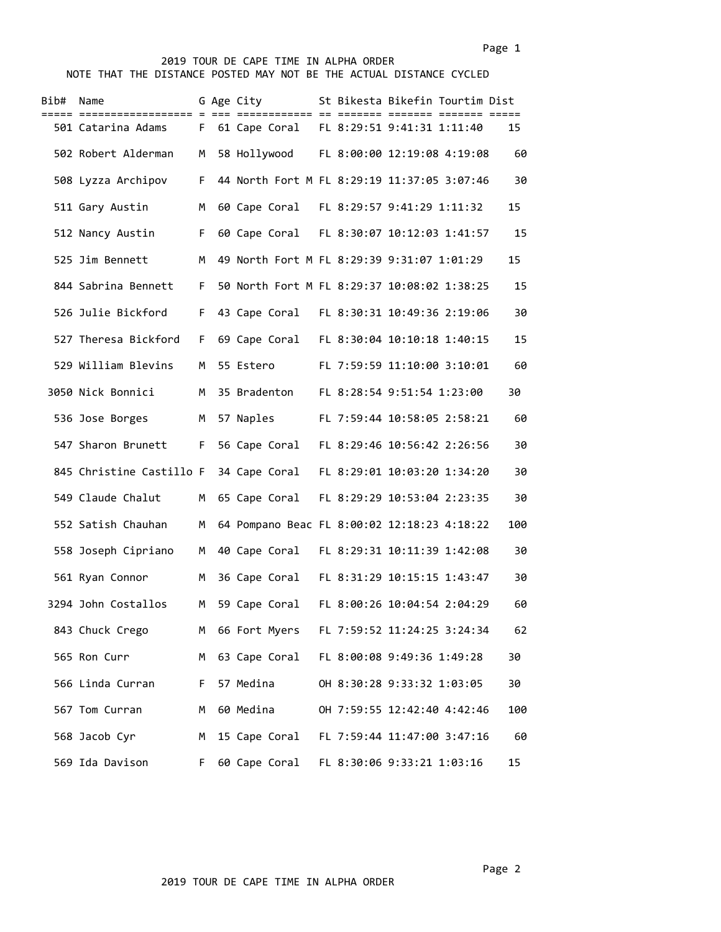## Page 1 and 2012 12:00 the contract of the contract of the contract of the contract of the contract of the contract of the contract of the contract of the contract of the contract of the contract of the contract of the cont

## 2019 TOUR DE CAPE TIME IN ALPHA ORDER NOTE THAT THE DISTANCE POSTED MAY NOT BE THE ACTUAL DISTANCE CYCLED

| Bib# | Name                     |     | G Age City    |  | St Bikesta Bikefin Tourtim Dist             |     |
|------|--------------------------|-----|---------------|--|---------------------------------------------|-----|
|      | 501 Catarina Adams       | F.  |               |  | 61 Cape Coral FL 8:29:51 9:41:31 1:11:40    | 15  |
|      | 502 Robert Alderman      | M   |               |  | 58 Hollywood FL 8:00:00 12:19:08 4:19:08    | 60  |
|      | 508 Lyzza Archipov       | F.  |               |  | 44 North Fort M FL 8:29:19 11:37:05 3:07:46 | 30  |
|      | 511 Gary Austin          | м   | 60 Cape Coral |  | FL 8:29:57 9:41:29 1:11:32                  | 15  |
|      | 512 Nancy Austin         | F.  |               |  | 60 Cape Coral FL 8:30:07 10:12:03 1:41:57   | 15  |
|      | 525 Jim Bennett          | M   |               |  | 49 North Fort M FL 8:29:39 9:31:07 1:01:29  | 15  |
|      | 844 Sabrina Bennett      | F.  |               |  | 50 North Fort M FL 8:29:37 10:08:02 1:38:25 | 15  |
|      | 526 Julie Bickford       | F.  |               |  | 43 Cape Coral FL 8:30:31 10:49:36 2:19:06   | 30  |
|      | 527 Theresa Bickford     | F.  |               |  | 69 Cape Coral FL 8:30:04 10:10:18 1:40:15   | 15  |
|      | 529 William Blevins      | M   | 55 Estero     |  | FL 7:59:59 11:10:00 3:10:01                 | 60  |
|      | 3050 Nick Bonnici        | м   | 35 Bradenton  |  | FL 8:28:54 9:51:54 1:23:00                  | 30  |
|      | 536 Jose Borges          | М   | 57 Naples     |  | FL 7:59:44 10:58:05 2:58:21                 | 60  |
|      | 547 Sharon Brunett       | F.  | 56 Cape Coral |  | FL 8:29:46 10:56:42 2:26:56                 | 30  |
|      | 845 Christine Castillo F |     | 34 Cape Coral |  | FL 8:29:01 10:03:20 1:34:20                 | 30  |
|      | 549 Claude Chalut        | м   | 65 Cape Coral |  | FL 8:29:29 10:53:04 2:23:35                 | 30  |
|      | 552 Satish Chauhan       | м   |               |  | 64 Pompano Beac FL 8:00:02 12:18:23 4:18:22 | 100 |
|      | 558 Joseph Cipriano      | м   | 40 Cape Coral |  | FL 8:29:31 10:11:39 1:42:08                 | 30  |
|      | 561 Ryan Connor          | M   |               |  | 36 Cape Coral FL 8:31:29 10:15:15 1:43:47   | 30  |
|      | 3294 John Costallos      | M   | 59 Cape Coral |  | FL 8:00:26 10:04:54 2:04:29                 | 60  |
|      | 843 Chuck Crego          | M . |               |  | 66 Fort Myers FL 7:59:52 11:24:25 3:24:34   | 62  |
|      | 565 Ron Curr             | М   |               |  | 63 Cape Coral FL 8:00:08 9:49:36 1:49:28    | 30  |
|      | 566 Linda Curran         | F.  | 57 Medina     |  | OH 8:30:28 9:33:32 1:03:05                  | 30  |
|      | 567 Tom Curran           | м   | 60 Medina     |  | OH 7:59:55 12:42:40 4:42:46                 | 100 |
|      | 568 Jacob Cyr            | м   |               |  | 15 Cape Coral FL 7:59:44 11:47:00 3:47:16   | 60  |
|      | 569 Ida Davison          | F.  | 60 Cape Coral |  | FL 8:30:06 9:33:21 1:03:16                  | 15  |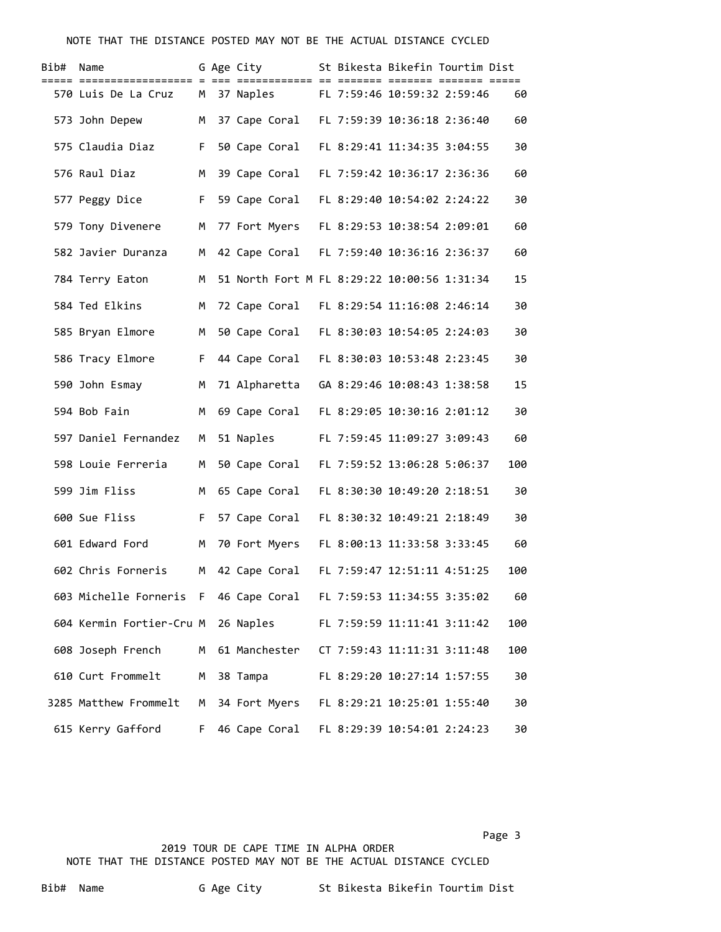## NOTE THAT THE DISTANCE POSTED MAY NOT BE THE ACTUAL DISTANCE CYCLED

| Bib# | Name                     |     | G Age City                                  |  | St Bikesta Bikefin Tourtim Dist |     |
|------|--------------------------|-----|---------------------------------------------|--|---------------------------------|-----|
|      | 570 Luis De La Cruz      | M . | 37 Naples                                   |  | FL 7:59:46 10:59:32 2:59:46     | 60  |
|      | 573 John Depew           | M . | 37 Cape Coral FL 7:59:39 10:36:18 2:36:40   |  |                                 | 60  |
|      | 575 Claudia Diaz         | F   | 50 Cape Coral                               |  | FL 8:29:41 11:34:35 3:04:55     | 30  |
|      | 576 Raul Diaz            | M   | 39 Cape Coral                               |  | FL 7:59:42 10:36:17 2:36:36     | 60  |
|      | 577 Peggy Dice           |     | F 59 Cape Coral                             |  | FL 8:29:40 10:54:02 2:24:22     | 30  |
|      | 579 Tony Divenere        | М   | 77 Fort Myers                               |  | FL 8:29:53 10:38:54 2:09:01     | 60  |
|      | 582 Javier Duranza       | M . | 42 Cape Coral                               |  | FL 7:59:40 10:36:16 2:36:37     | 60  |
|      | 784 Terry Eaton          | м   | 51 North Fort M FL 8:29:22 10:00:56 1:31:34 |  |                                 | 15  |
|      | 584 Ted Elkins           | M   | 72 Cape Coral FL 8:29:54 11:16:08 2:46:14   |  |                                 | 30  |
|      | 585 Bryan Elmore         | M   | 50 Cape Coral FL 8:30:03 10:54:05 2:24:03   |  |                                 | 30  |
|      | 586 Tracy Elmore         | F   | 44 Cape Coral FL 8:30:03 10:53:48 2:23:45   |  |                                 | 30  |
|      | 590 John Esmay           | M   | 71 Alpharetta                               |  | GA 8:29:46 10:08:43 1:38:58     | 15  |
|      | 594 Bob Fain             | M   | 69 Cape Coral                               |  | FL 8:29:05 10:30:16 2:01:12     | 30  |
|      | 597 Daniel Fernandez     | М   | 51 Naples                                   |  | FL 7:59:45 11:09:27 3:09:43     | 60  |
|      | 598 Louie Ferreria       | м   | 50 Cape Coral                               |  | FL 7:59:52 13:06:28 5:06:37     | 100 |
|      | 599 Jim Fliss            | M   | 65 Cape Coral                               |  | FL 8:30:30 10:49:20 2:18:51     | 30  |
|      | 600 Sue Fliss            |     | F 57 Cape Coral                             |  | FL 8:30:32 10:49:21 2:18:49     | 30  |
|      | 601 Edward Ford          | М   | 70 Fort Myers                               |  | FL 8:00:13 11:33:58 3:33:45     | 60  |
|      | 602 Chris Forneris       | M . | 42 Cape Coral FL 7:59:47 12:51:11 4:51:25   |  |                                 | 100 |
|      | 603 Michelle Forneris F  |     | 46 Cape Coral                               |  | FL 7:59:53 11:34:55 3:35:02     | 60  |
|      | 604 Kermin Fortier-Cru M |     | 26 Naples                                   |  | FL 7:59:59 11:11:41 3:11:42     | 100 |
|      | 608 Joseph French        | M   | 61 Manchester                               |  | CT 7:59:43 11:11:31 3:11:48     | 100 |
|      | 610 Curt Frommelt        | M   | 38 Tampa                                    |  | FL 8:29:20 10:27:14 1:57:55     | 30  |
|      | 3285 Matthew Frommelt    | М   | 34 Fort Myers                               |  | FL 8:29:21 10:25:01 1:55:40     | 30  |
|      | 615 Kerry Gafford        | F.  | 46 Cape Coral                               |  | FL 8:29:39 10:54:01 2:24:23     | 30  |

Page 3 and 2012 and 2012 and 2012 and 2012 and 2012 and 2012 and 2012 and 2012 and 2012 and 2012 and 2012 and 2019 TOUR DE CAPE TIME IN ALPHA ORDER NOTE THAT THE DISTANCE POSTED MAY NOT BE THE ACTUAL DISTANCE CYCLED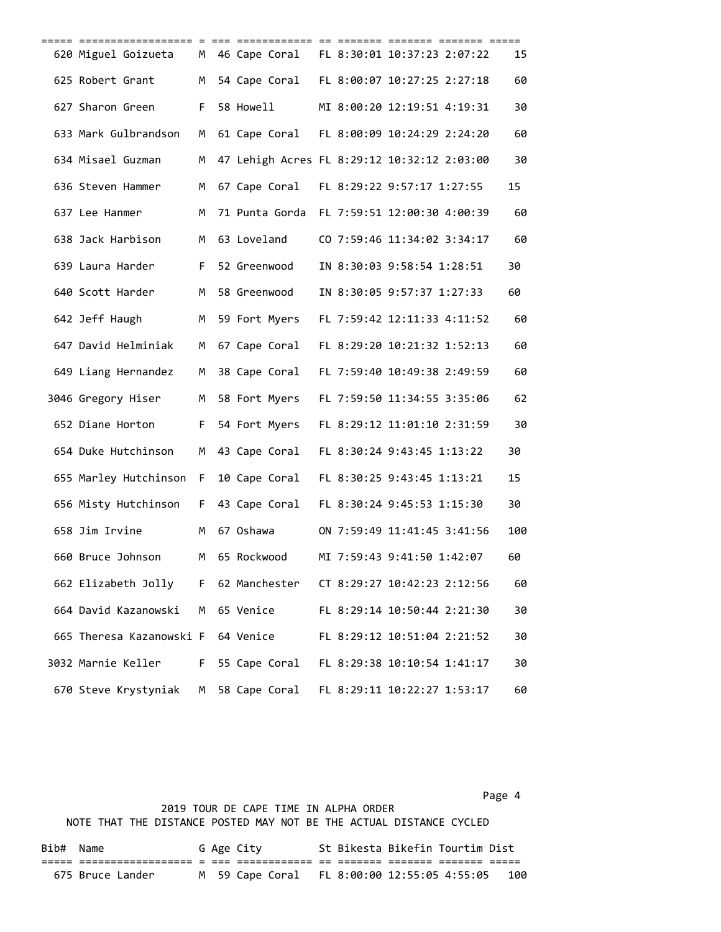| 620 Miguel Goizueta                                            |     |                 |  | M 46 Cape Coral FL 8:30:01 10:37:23 2:07:22 | 15  |
|----------------------------------------------------------------|-----|-----------------|--|---------------------------------------------|-----|
| 625 Robert Grant                                               |     |                 |  | M 54 Cape Coral FL 8:00:07 10:27:25 2:27:18 | 60  |
| 627 Sharon Green                                               |     | F 58 Howell     |  | MI 8:00:20 12:19:51 4:19:31                 | 30  |
| 633 Mark Gulbrandson                                           |     |                 |  | M 61 Cape Coral FL 8:00:09 10:24:29 2:24:20 | 60  |
| 634 Misael Guzman                                              | M   |                 |  | 47 Lehigh Acres FL 8:29:12 10:32:12 2:03:00 | 30  |
| 636 Steven Hammer                                              | M . |                 |  | 67 Cape Coral FL 8:29:22 9:57:17 1:27:55    | 15  |
| 637 Lee Hanmer                                                 | M   |                 |  | 71 Punta Gorda FL 7:59:51 12:00:30 4:00:39  | 60  |
| 638 Jack Harbison                                              |     | M 63 Loveland   |  | CO 7:59:46 11:34:02 3:34:17                 | 60  |
| 639 Laura Harder                                               |     | F 52 Greenwood  |  | IN 8:30:03 9:58:54 1:28:51                  | 30  |
| 640 Scott Harder                                               |     | M 58 Greenwood  |  | IN 8:30:05 9:57:37 1:27:33                  | 60  |
| 642 Jeff Haugh M 59 Fort Myers                                 |     |                 |  | FL 7:59:42 12:11:33 4:11:52                 | 60  |
| 647 David Helminiak                                            | M   |                 |  | 67 Cape Coral FL 8:29:20 10:21:32 1:52:13   | 60  |
| 649 Liang Hernandez                                            |     | M 38 Cape Coral |  | FL 7:59:40 10:49:38 2:49:59                 | 60  |
| 3046 Gregory Hiser M 58 Fort Myers FL 7:59:50 11:34:55 3:35:06 |     |                 |  |                                             | 62  |
| 652 Diane Horton                                               |     | F 54 Fort Myers |  | FL 8:29:12 11:01:10 2:31:59                 | 30  |
| 654 Duke Hutchinson                                            | M   | 43 Cape Coral   |  | FL 8:30:24 9:43:45 1:13:22                  | 30  |
| 655 Marley Hutchinson F                                        |     | 10 Cape Coral   |  | FL 8:30:25 9:43:45 1:13:21                  | 15  |
| 656 Misty Hutchinson                                           |     | F 43 Cape Coral |  | FL 8:30:24 9:45:53 1:15:30                  | 30  |
| 658 Jim Irvine                                                 | M   | 67 Oshawa       |  | ON 7:59:49 11:41:45 3:41:56                 | 100 |
| 660 Bruce Johnson                                              |     | M 65 Rockwood   |  | MI 7:59:43 9:41:50 1:42:07                  | 60  |
| 662 Elizabeth Jolly                                            | F.  | 62 Manchester   |  | CT 8:29:27 10:42:23 2:12:56                 | 60  |
| 664 David Kazanowski                                           | M   | 65 Venice       |  | FL 8:29:14 10:50:44 2:21:30                 | 30  |
| 665 Theresa Kazanowski F                                       |     | 64 Venice       |  | FL 8:29:12 10:51:04 2:21:52                 | 30  |
| 3032 Marnie Keller                                             | F.  | 55 Cape Coral   |  | FL 8:29:38 10:10:54 1:41:17                 | 30  |
| 670 Steve Krystyniak                                           | м   | 58 Cape Coral   |  | FL 8:29:11 10:22:27 1:53:17                 | 60  |

Page 4 and the state of the state of the state of the state of the state of the state of the state of the state of the state of the state of the state of the state of the state of the state of the state of the state of the

## 2019 TOUR DE CAPE TIME IN ALPHA ORDER NOTE THAT THE DISTANCE POSTED MAY NOT BE THE ACTUAL DISTANCE CYCLED

| Bib# Name |                  |  | G Age City                                  | St Bikesta Bikefin Tourtim Dist |  |     |
|-----------|------------------|--|---------------------------------------------|---------------------------------|--|-----|
|           |                  |  |                                             |                                 |  |     |
|           | 675 Bruce Lander |  | M 59 Cape Coral FL 8:00:00 12:55:05 4:55:05 |                                 |  | 100 |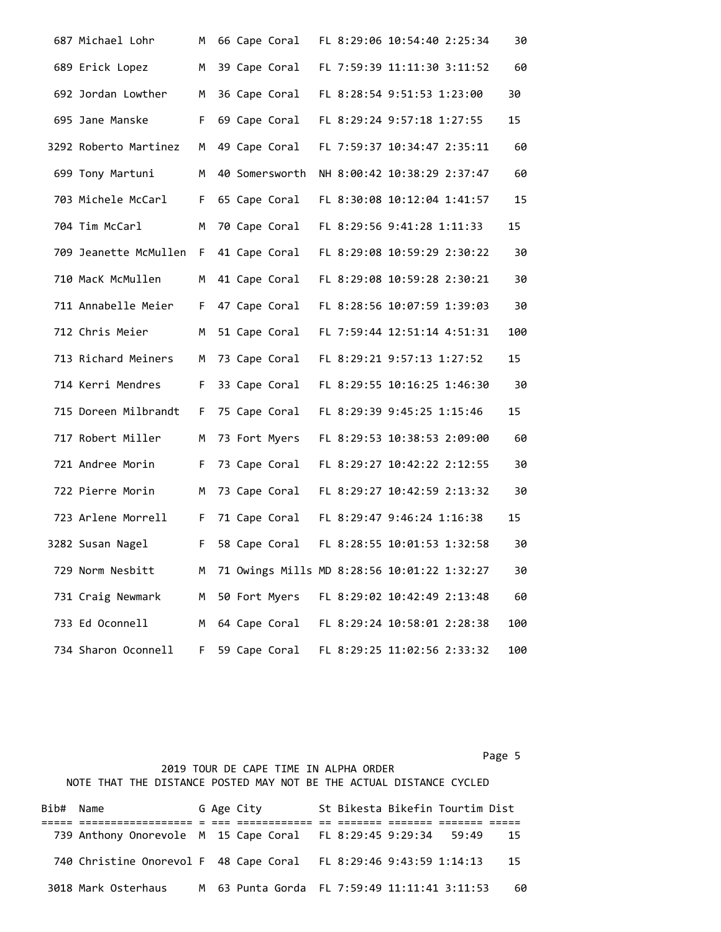| 687 Michael Lohr      | M  |  | 66 Cape Coral  |  | FL 8:29:06 10:54:40 2:25:34                 | 30  |
|-----------------------|----|--|----------------|--|---------------------------------------------|-----|
| 689 Erick Lopez       | М  |  | 39 Cape Coral  |  | FL 7:59:39 11:11:30 3:11:52                 | 60  |
| 692 Jordan Lowther    | М  |  | 36 Cape Coral  |  | FL 8:28:54 9:51:53 1:23:00                  | 30  |
| 695 Jane Manske       | F. |  | 69 Cape Coral  |  | FL 8:29:24 9:57:18 1:27:55                  | 15  |
| 3292 Roberto Martinez | М  |  | 49 Cape Coral  |  | FL 7:59:37 10:34:47 2:35:11                 | 60  |
| 699 Tony Martuni      | м  |  | 40 Somersworth |  | NH 8:00:42 10:38:29 2:37:47                 | 60  |
| 703 Michele McCarl    | F. |  | 65 Cape Coral  |  | FL 8:30:08 10:12:04 1:41:57                 | 15  |
| 704 Tim McCarl        | M  |  | 70 Cape Coral  |  | FL 8:29:56 9:41:28 1:11:33                  | 15  |
| 709 Jeanette McMullen | F. |  | 41 Cape Coral  |  | FL 8:29:08 10:59:29 2:30:22                 | 30  |
| 710 MacK McMullen     | M  |  | 41 Cape Coral  |  | FL 8:29:08 10:59:28 2:30:21                 | 30  |
| 711 Annabelle Meier   | F. |  | 47 Cape Coral  |  | FL 8:28:56 10:07:59 1:39:03                 | 30  |
| 712 Chris Meier       | M  |  | 51 Cape Coral  |  | FL 7:59:44 12:51:14 4:51:31                 | 100 |
| 713 Richard Meiners   | М  |  | 73 Cape Coral  |  | FL 8:29:21 9:57:13 1:27:52                  | 15  |
| 714 Kerri Mendres     | F. |  | 33 Cape Coral  |  | FL 8:29:55 10:16:25 1:46:30                 | 30  |
| 715 Doreen Milbrandt  | F. |  | 75 Cape Coral  |  | FL 8:29:39 9:45:25 1:15:46                  | 15  |
| 717 Robert Miller     | M  |  | 73 Fort Myers  |  | FL 8:29:53 10:38:53 2:09:00                 | 60  |
| 721 Andree Morin      | F. |  | 73 Cape Coral  |  | FL 8:29:27 10:42:22 2:12:55                 | 30  |
| 722 Pierre Morin      | М  |  | 73 Cape Coral  |  | FL 8:29:27 10:42:59 2:13:32                 | 30  |
| 723 Arlene Morrell    | F. |  | 71 Cape Coral  |  | FL 8:29:47 9:46:24 1:16:38                  | 15  |
| 3282 Susan Nagel      | F. |  | 58 Cape Coral  |  | FL 8:28:55 10:01:53 1:32:58                 | 30  |
| 729 Norm Nesbitt      | м  |  |                |  | 71 Owings Mills MD 8:28:56 10:01:22 1:32:27 | 30  |
| 731 Craig Newmark     | М  |  | 50 Fort Myers  |  | FL 8:29:02 10:42:49 2:13:48                 | 60  |
| 733 Ed Oconnell       | M  |  | 64 Cape Coral  |  | FL 8:29:24 10:58:01 2:28:38                 | 100 |
| 734 Sharon Oconnell   | F. |  | 59 Cape Coral  |  | FL 8:29:25 11:02:56 2:33:32                 | 100 |

|           |                                                                     |  |            |  | 2019 TOUR DE CAPE TIME IN ALPHA ORDER |                                 |      |
|-----------|---------------------------------------------------------------------|--|------------|--|---------------------------------------|---------------------------------|------|
|           | NOTE THAT THE DISTANCE POSTED MAY NOT BE THE ACTUAL DISTANCE CYCLED |  |            |  |                                       |                                 |      |
|           |                                                                     |  |            |  |                                       |                                 |      |
| Bib# Name |                                                                     |  | G Age City |  |                                       | St Bikesta Bikefin Tourtim Dist |      |
|           |                                                                     |  |            |  |                                       |                                 |      |
|           | 739 Anthony Onorevole M 15 Cape Coral FL 8:29:45 9:29:34 59:49      |  |            |  |                                       |                                 | 15   |
|           |                                                                     |  |            |  |                                       |                                 |      |
|           | 740 Christine Onorevol F 48 Cape Coral FL 8:29:46 9:43:59 1:14:13   |  |            |  |                                       |                                 | - 15 |
|           |                                                                     |  |            |  |                                       |                                 |      |

Page 5 and 2012 and 2012 and 2012 and 2012 and 2012 and 2012 and 2012 and 2012 and 2012 and 2012 and 2012 and

3018 Mark Osterhaus M 63 Punta Gorda FL 7:59:49 11:11:41 3:11:53 60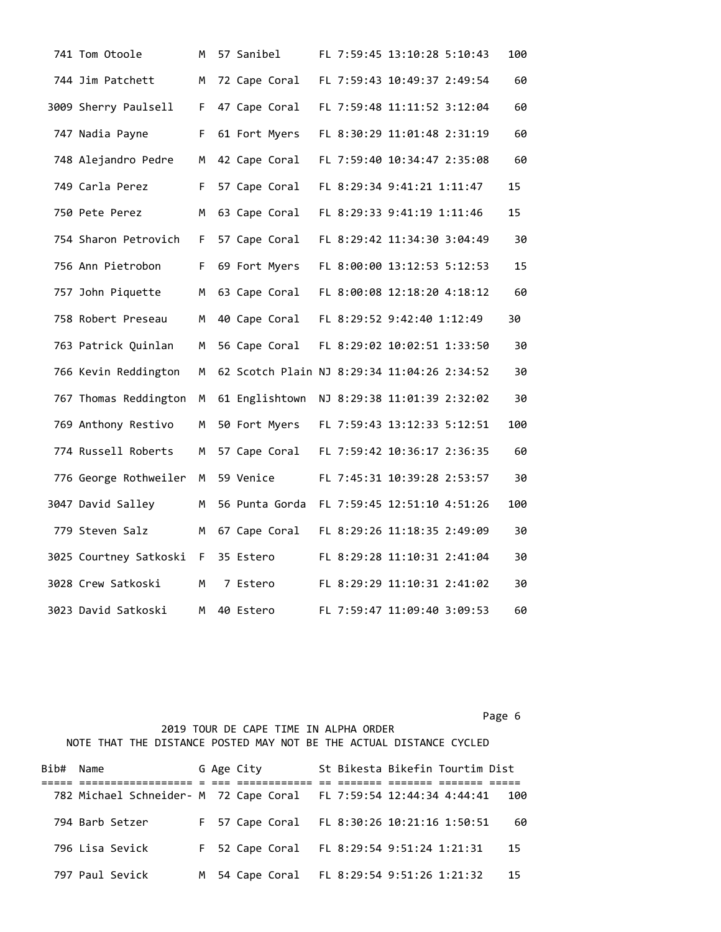| 741 Tom Otoole         | М  | 57 Sanibel                                  |  | FL 7:59:45 13:10:28 5:10:43 | 100 |
|------------------------|----|---------------------------------------------|--|-----------------------------|-----|
| 744 Jim Patchett       | M  | 72 Cape Coral                               |  | FL 7:59:43 10:49:37 2:49:54 | 60  |
| 3009 Sherry Paulsell   | F. | 47 Cape Coral                               |  | FL 7:59:48 11:11:52 3:12:04 | 60  |
| 747 Nadia Payne        | F. | 61 Fort Myers                               |  | FL 8:30:29 11:01:48 2:31:19 | 60  |
| 748 Alejandro Pedre    | м  | 42 Cape Coral                               |  | FL 7:59:40 10:34:47 2:35:08 | 60  |
| 749 Carla Perez        | F. | 57 Cape Coral                               |  | FL 8:29:34 9:41:21 1:11:47  | 15  |
| 750 Pete Perez         | M  | 63 Cape Coral                               |  | FL 8:29:33 9:41:19 1:11:46  | 15  |
| 754 Sharon Petrovich   | F. | 57 Cape Coral                               |  | FL 8:29:42 11:34:30 3:04:49 | 30  |
| 756 Ann Pietrobon      | F. | 69 Fort Myers                               |  | FL 8:00:00 13:12:53 5:12:53 | 15  |
| 757 John Piquette      | M  | 63 Cape Coral                               |  | FL 8:00:08 12:18:20 4:18:12 | 60  |
| 758 Robert Preseau     | M  | 40 Cape Coral                               |  | FL 8:29:52 9:42:40 1:12:49  | 30  |
| 763 Patrick Quinlan    | М  | 56 Cape Coral                               |  | FL 8:29:02 10:02:51 1:33:50 | 30  |
| 766 Kevin Reddington   | М  | 62 Scotch Plain NJ 8:29:34 11:04:26 2:34:52 |  |                             | 30  |
| 767 Thomas Reddington  | M  | 61 Englishtown                              |  | NJ 8:29:38 11:01:39 2:32:02 | 30  |
| 769 Anthony Restivo    | M  | 50 Fort Myers                               |  | FL 7:59:43 13:12:33 5:12:51 | 100 |
| 774 Russell Roberts    | M  | 57 Cape Coral                               |  | FL 7:59:42 10:36:17 2:36:35 | 60  |
| 776 George Rothweiler  | м  | 59 Venice                                   |  | FL 7:45:31 10:39:28 2:53:57 | 30  |
| 3047 David Salley      | м  | 56 Punta Gorda                              |  | FL 7:59:45 12:51:10 4:51:26 | 100 |
| 779 Steven Salz        | М  | 67 Cape Coral                               |  | FL 8:29:26 11:18:35 2:49:09 | 30  |
| 3025 Courtney Satkoski | F. | 35 Estero                                   |  | FL 8:29:28 11:10:31 2:41:04 | 30  |
| 3028 Crew Satkoski     | М  | 7 Estero                                    |  | FL 8:29:29 11:10:31 2:41:02 | 30  |
| 3023 David Satkoski    | м  | 40 Estero                                   |  | FL 7:59:47 11:09:40 3:09:53 | 60  |

 2019 TOUR DE CAPE TIME IN ALPHA ORDER NOTE THAT THE DISTANCE POSTED MAY NOT BE THE ACTUAL DISTANCE CYCLED

| Bib# Name                                                          |  | G Age City |  |                                            | St Bikesta Bikefin Tourtim Dist             |     |
|--------------------------------------------------------------------|--|------------|--|--------------------------------------------|---------------------------------------------|-----|
| 782 Michael Schneider- M 72 Cape Coral FL 7:59:54 12:44:34 4:44:41 |  |            |  |                                            |                                             | 100 |
| 794 Barb Setzer                                                    |  |            |  |                                            | F 57 Cape Coral FL 8:30:26 10:21:16 1:50:51 | 60  |
| 796 Lisa Sevick                                                    |  |            |  | F 52 Cape Coral FL 8:29:54 9:51:24 1:21:31 |                                             | 15  |
| 797 Paul Sevick                                                    |  |            |  | M 54 Cape Coral FL 8:29:54 9:51:26 1:21:32 |                                             | 15  |

Page 6